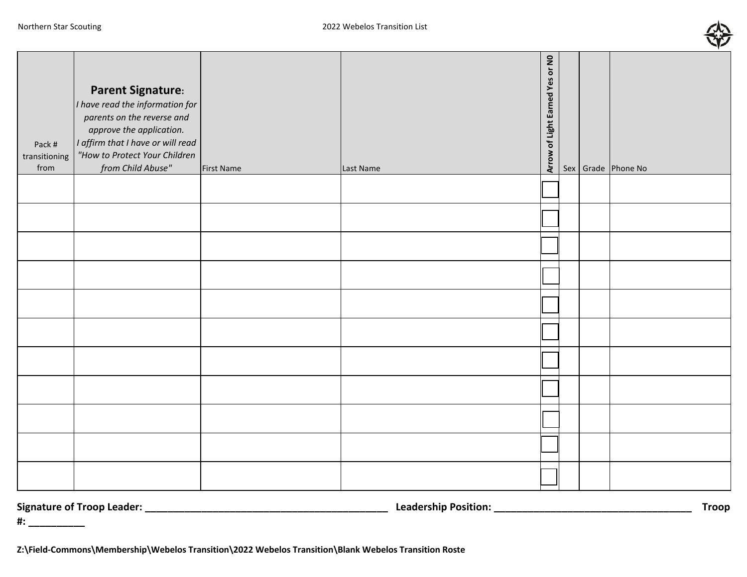

| Pack #<br>transitioning<br>from | <b>Parent Signature:</b><br>I have read the information for<br>parents on the reverse and<br>approve the application.<br>I affirm that I have or will read<br>"How to Protect Your Children<br>from Child Abuse" | <b>First Name</b> | Last Name | Arrow of Light Earned Yes or NO |  | Sex Grade Phone No |
|---------------------------------|------------------------------------------------------------------------------------------------------------------------------------------------------------------------------------------------------------------|-------------------|-----------|---------------------------------|--|--------------------|
|                                 |                                                                                                                                                                                                                  |                   |           |                                 |  |                    |
|                                 |                                                                                                                                                                                                                  |                   |           |                                 |  |                    |
|                                 |                                                                                                                                                                                                                  |                   |           |                                 |  |                    |
|                                 |                                                                                                                                                                                                                  |                   |           |                                 |  |                    |
|                                 |                                                                                                                                                                                                                  |                   |           |                                 |  |                    |
|                                 |                                                                                                                                                                                                                  |                   |           |                                 |  |                    |
|                                 |                                                                                                                                                                                                                  |                   |           |                                 |  |                    |
|                                 |                                                                                                                                                                                                                  |                   |           |                                 |  |                    |
|                                 |                                                                                                                                                                                                                  |                   |           |                                 |  |                    |
|                                 |                                                                                                                                                                                                                  |                   |           |                                 |  |                    |
|                                 |                                                                                                                                                                                                                  |                   |           |                                 |  |                    |

**Signature of Troop Leader: \_\_\_\_\_\_\_\_\_\_\_\_\_\_\_\_\_\_\_\_\_\_\_\_\_\_\_\_\_\_\_\_\_\_\_\_\_\_\_\_\_\_\_ Leadership Position: \_\_\_\_\_\_\_\_\_\_\_\_\_\_\_\_\_\_\_\_\_\_\_\_\_\_\_\_\_\_\_\_\_\_\_ Troop** 

**#: \_\_\_\_\_\_\_\_\_\_**